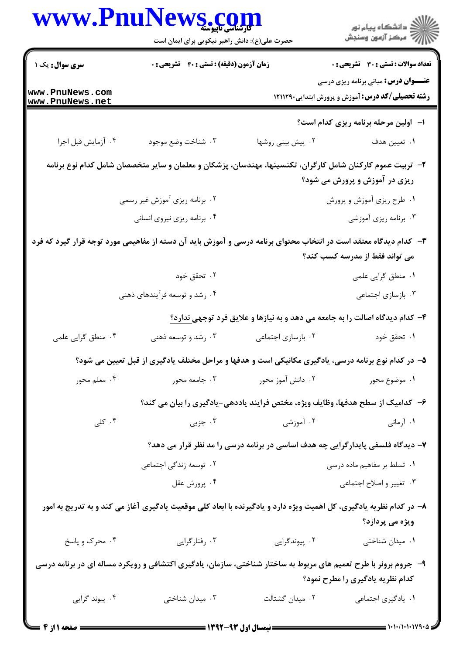| WWW.PnuNews.com                    | حضرت علی(ع): دانش راهبر نیکویی برای ایمان است                                                                       |                                                                                | ڪ دانشڪاه پيا <sub>م</sub> نور<br>۾ سرڪز آزمون وسنڊش                                                    |  |  |
|------------------------------------|---------------------------------------------------------------------------------------------------------------------|--------------------------------------------------------------------------------|---------------------------------------------------------------------------------------------------------|--|--|
| سری سوال: یک ۱                     | <b>زمان آزمون (دقیقه) : تستی : 40 قشریحی : 0</b>                                                                    |                                                                                | <b>تعداد سوالات : تستي : 30 ٪ تشريحي : 0</b>                                                            |  |  |
| www.PnuNews.com<br>www.PnuNews.net |                                                                                                                     |                                                                                | <b>عنـــوان درس:</b> مبانی برنامه ریزی درسی<br><b>رشته تحصیلی/کد درس:</b> آموزش و پرورش ابتدایی ۱۲۱۱۲۹۰ |  |  |
|                                    |                                                                                                                     |                                                                                | ا- اولین مرحله برنامه ریزی کدام است؟                                                                    |  |  |
| ۰۴ آزمايش قبل اجرا                 | ۰۳ شناخت وضع موجود                                                                                                  | ۰۲ پیش بینی روشها                                                              | ٠١ تعيين هدف                                                                                            |  |  |
|                                    | ۲–  تربیت عموم کارکنان شامل کارگران، تکنسینها، مهندسان، پزشکان و معلمان و سایر متخصصان شامل کدام نوع برنامه         |                                                                                | ریزی در آموزش و پرورش می شود؟                                                                           |  |  |
| ۲. برنامه ریزی آموزش غیر رسمی      |                                                                                                                     |                                                                                | ۰۱ طرح ریزی آموزش و پرورش                                                                               |  |  |
| ۰۴ برنامه ریزی نیروی انسانی        |                                                                                                                     |                                                                                | ۰۳ برنامه ریزی آموزشی                                                                                   |  |  |
|                                    | ۳– کدام دیدگاه معتقد است در انتخاب محتوای برنامه درسی و آموزش باید آن دسته از مفاهیمی مورد توجه قرار گیرد که فرد    |                                                                                | می تواند فقط از مدرسه کسب کند؟                                                                          |  |  |
|                                    | ۰۲ تحقق خود                                                                                                         |                                                                                | ۰۱ منطق گرایی علمی                                                                                      |  |  |
|                                    | ۰۴ رشد و توسعه فرآیندهای ذهنی                                                                                       |                                                                                | ۰۳ بازسازی اجتماعی                                                                                      |  |  |
|                                    |                                                                                                                     | ۴- کدام دیدگاه اصالت را به جامعه می دهد و به نیازها و علایق فرد توجهی ندارد؟   |                                                                                                         |  |  |
| ۰۴ منطق گرایی علمی                 | ۰۳ رشد و توسعه ذهنی                                                                                                 | ۰۲ بازسازی اجتماعی                                                             | ۰۱ تحقق خود                                                                                             |  |  |
|                                    | ۵– در کدام نوع برنامه درسی، یادگیری مکانیکی است و هدفها و مراحل مختلف یادگیری از قبل تعیین می شود؟                  |                                                                                |                                                                                                         |  |  |
| ۰۴ معلم محور                       | ۰۳ جامعه محور                                                                                                       | ۰۲ دانش آموز محور                                                              | ۰۱ موضوع محور                                                                                           |  |  |
|                                    | ۶– کدامیک از سطح هدفها، وظایف ویژه، مختص فرایند یاددهی-یادگیری را بیان می کند؟                                      |                                                                                |                                                                                                         |  |  |
| ۰۴ کلی                             | ۰۳ جزیی                                                                                                             | ۰۲ آموزشی                                                                      | ۰۱ آرمانی                                                                                               |  |  |
|                                    |                                                                                                                     | ۷– دیدگاه فلسفی پایدارگرایی چه هدف اساسی در برنامه درسی را مد نظر قرار می دهد؟ |                                                                                                         |  |  |
| ۰۲ توسعه زندگی اجتماعی             |                                                                                                                     | ۰۱ تسلط بر مفاهیم ماده درسی                                                    |                                                                                                         |  |  |
|                                    | ۰۴ پرورش عقل                                                                                                        | ۰۳ تغيير و اصلاح اجتماعي                                                       |                                                                                                         |  |  |
|                                    | ۸– در کدام نظریه یادگیری، کل اهمیت ویژه دارد و یادگیرنده با ابعاد کلی موقعیت یادگیری آغاز می کند و به تدریج به امور |                                                                                | ویژه می پردازد؟                                                                                         |  |  |
| ۰۴ محرک و پاسخ                     | ۰۳ رفتارگرایی                                                                                                       | ۰۲ پیوندگرایی                                                                  | ۰۱ میدان شناختی                                                                                         |  |  |
|                                    | ۹- ً جروم برونر با طرح تعمیم های مربوط به ساختار شناختی، سازمان، یادگیری اکتشافی و رویکرد مساله ای در برنامه درسی   |                                                                                | کدام نظریه یادگیری را مطرح نمود؟                                                                        |  |  |
| ۰۴ پیوند گرایی                     | ۰۳ میدان شناختی                                                                                                     | ٠٢ ميدان گشتالت                                                                | ٠١. يادگيري اجتماعي                                                                                     |  |  |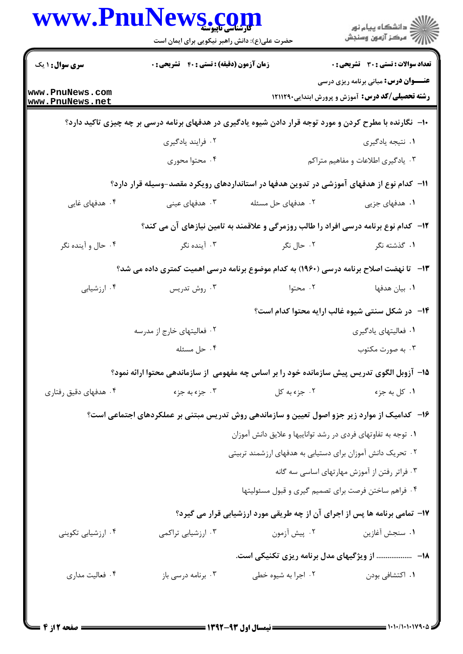|                                    | www.PnuNews.com<br>حضرت علی(ع): دانش راهبر نیکویی برای ایمان است                                         |                                                                                      | ِ<br>∭ دانشڪاه پيام نور<br>∭ مرڪز آزمون وسنڊش                                                           |  |
|------------------------------------|----------------------------------------------------------------------------------------------------------|--------------------------------------------------------------------------------------|---------------------------------------------------------------------------------------------------------|--|
| <b>سری سوال : ۱ یک</b>             | زمان آزمون (دقیقه) : تستی : ۴۰٪ تشریحی : ۰                                                               |                                                                                      | <b>تعداد سوالات : تستی : 30 ٪ تشریحی : 0</b>                                                            |  |
| www.PnuNews.com<br>www.PnuNews.net |                                                                                                          |                                                                                      | <b>عنـــوان درس:</b> مبانی برنامه ریزی درسی<br><b>رشته تحصیلی/کد درس:</b> آموزش و پرورش ابتدایی ۱۲۱۱۲۹۰ |  |
|                                    | ۱۰- نگارنده با مطرح کردن و مورد توجه قرار دادن شیوه یادگیری در هدفهای برنامه درسی بر چه چیزی تاکید دارد؟ |                                                                                      |                                                                                                         |  |
|                                    | ۰۲ فرايند يادگيري                                                                                        |                                                                                      | ۰۱ نتیجه یادگیری                                                                                        |  |
|                                    | ۰۴ محتوا محوری                                                                                           |                                                                                      | ۰۳ یادگیری اطلاعات و مفاهیم متراکم                                                                      |  |
|                                    | ۱۱− کدام نوع از هدفهای آموزشی در تدوین هدفها در استانداردهای رویکرد مقصد-وسیله قرار دارد؟                |                                                                                      |                                                                                                         |  |
| ۰۴ هدفهای غایی                     | ۰۳ هدفهای عینی                                                                                           | ۰۲ هدفهای حل مسئله                                                                   | ۰۱ هدفهای جزیی                                                                                          |  |
|                                    |                                                                                                          | ۱۲- کدام نوع برنامه درسی افراد را طالب روزمرگی و علاقمند به تامین نیازهای آن می کند؟ |                                                                                                         |  |
| ۰۴ حال و آینده نگر                 | ۰۳ آینده نگر                                                                                             | ۰۲ حال نگر                                                                           | ۰۱ گذشته نگر                                                                                            |  |
|                                    | ۱۳- تا نهضت اصلاح برنامه درسی (۱۹۶۰) به کدام موضوع برنامه درسی اهمیت کمتری داده می شد؟                   |                                                                                      |                                                                                                         |  |
| ۰۴ ارزشیابی                        | ۰۳ روش تدریس                                                                                             | ۰۲ محتوا                                                                             | <b>۰۱</b> بیان هدفها                                                                                    |  |
|                                    |                                                                                                          |                                                                                      | <b>۱۴</b> - در شکل سنتی شیوه غالب ارایه محتوا کدام است؟                                                 |  |
|                                    | ۰۲ فعالیتهای خارج از مدرسه                                                                               |                                                                                      | ۰۱ فعالیتهای یادگیری                                                                                    |  |
|                                    | ۰۴ حل مسئله                                                                                              |                                                                                      | ۰۳ به صورت مکتوب                                                                                        |  |
|                                    | ۱۵– آزوبل الگوی تدریس پیش سازمانده خود را بر اساس چه مفهومی از سازماندهی محتوا ارائه نمود؟               |                                                                                      |                                                                                                         |  |
| ۰۴ هدفهای دقیق رفتاری              | ۰۳ جزء به جزء                                                                                            | ۰۲ جزء به کل                                                                         | ۰۱ کل به جزء                                                                                            |  |
|                                    | ۱۶-۔ کدامیک از موارد زیر جزو اصول تعیین و سازماندهی روش تدریس مبتنی بر عملکردهای اجتماعی است؟            |                                                                                      |                                                                                                         |  |
|                                    |                                                                                                          | ۰۱ توجه به تفاوتهای فردی در رشد تواناییها و علایق دانش آموزان                        |                                                                                                         |  |
|                                    |                                                                                                          | ۰۲ تحریک دانش آموزان برای دستیابی به هدفهای ارزشمند تربیتی                           |                                                                                                         |  |
|                                    | ۰۳ فراتر رفتن از آموزش مهارتهای اساسی سه گانه                                                            |                                                                                      |                                                                                                         |  |
|                                    |                                                                                                          | ۰۴ فراهم ساختن فرصت براي تصميم گيري و قبول مسئوليتها                                 |                                                                                                         |  |
|                                    |                                                                                                          | ۱۷- تمامی برنامه ها پس از اجرای آن از چه طریقی مورد ارزشیابی قرار می گیرد؟           |                                                                                                         |  |
| ۰۴ ارزشیابی تکوینی                 | ۰۳ ارزشیابی تراکمی                                                                                       | ۰۲ پیش آزمون                                                                         | ۰۱ سنجش آغازین                                                                                          |  |
|                                    |                                                                                                          | ۱۸− ……………… از ویژگیهای مدل برنامه ریزی تکنیکی است.                                   |                                                                                                         |  |
| ۰۴ فعالیت مداری                    | ۰۳ برنامه درسی باز                                                                                       | ۰۲ اجرا به شیوه خطی                                                                  | ۰۱ اکتشافی بودن                                                                                         |  |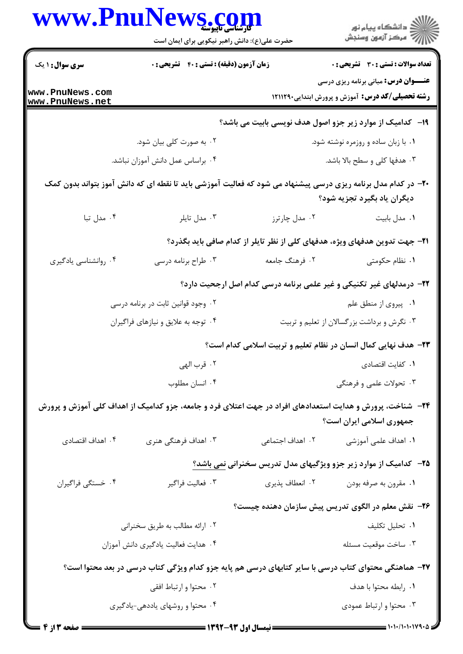| <b>سری سوال : ۱ یک</b><br><b>زمان آزمون (دقیقه) : تستی : ۴۰ ٪ تشریحی : 0</b><br><b>تعداد سوالات : تستی : 30 ٪ تشریحی : 0</b><br><b>عنـــوان درس:</b> مبانی برنامه ریزی درسی<br>www.PnuNews.com<br><b>رشته تحصیلی/کد درس:</b> آموزش و پرورش ابتدایی1۲۱۱۲۹۰<br>www.PnuNews.net<br>۱۹- کدامیک از موارد زیر جزو اصول هدف نویسی بابیت می باشد؟<br>۰۲ به صورت کلی بیان شود.<br>۰۱ با زبان ساده و روزمره نوشته شود.<br>۰۳ هدفها کلی و سطح بالا باشد.<br>۰۴ براساس عمل دانش آموزان نباشد.<br>+۲- در کدام مدل برنامه ریزی درسی پیشنهاد می شود که فعالیت آموزشی باید تا نقطه ای که دانش آموز بتواند بدون کمک<br>دیگران یاد بگیرد تجزیه شود؟<br>۰۴ مدل تبا<br>۰۳ مدل تايلر<br>۰۲ مدل چارترز<br>٠١ مدل بابيت<br><b>۲۱</b> – جهت تدوین هدفهای ویژه، هدفهای کلی از نظر تایلر از کدام صافی باید بگذرد؟<br>۰۴ روانشناسي يادگيري<br>۰۲ فرهنگ جامعه<br>۰۱ نظام حکومتی<br>۰۳ طراح برنامه درسی |  |
|----------------------------------------------------------------------------------------------------------------------------------------------------------------------------------------------------------------------------------------------------------------------------------------------------------------------------------------------------------------------------------------------------------------------------------------------------------------------------------------------------------------------------------------------------------------------------------------------------------------------------------------------------------------------------------------------------------------------------------------------------------------------------------------------------------------------------------------------------------------------------|--|
|                                                                                                                                                                                                                                                                                                                                                                                                                                                                                                                                                                                                                                                                                                                                                                                                                                                                            |  |
|                                                                                                                                                                                                                                                                                                                                                                                                                                                                                                                                                                                                                                                                                                                                                                                                                                                                            |  |
|                                                                                                                                                                                                                                                                                                                                                                                                                                                                                                                                                                                                                                                                                                                                                                                                                                                                            |  |
|                                                                                                                                                                                                                                                                                                                                                                                                                                                                                                                                                                                                                                                                                                                                                                                                                                                                            |  |
|                                                                                                                                                                                                                                                                                                                                                                                                                                                                                                                                                                                                                                                                                                                                                                                                                                                                            |  |
|                                                                                                                                                                                                                                                                                                                                                                                                                                                                                                                                                                                                                                                                                                                                                                                                                                                                            |  |
|                                                                                                                                                                                                                                                                                                                                                                                                                                                                                                                                                                                                                                                                                                                                                                                                                                                                            |  |
|                                                                                                                                                                                                                                                                                                                                                                                                                                                                                                                                                                                                                                                                                                                                                                                                                                                                            |  |
|                                                                                                                                                                                                                                                                                                                                                                                                                                                                                                                                                                                                                                                                                                                                                                                                                                                                            |  |
| ۲۲- درمدلهای غیر تکنیکی و غیر علمی برنامه درسی کدام اصل ارجحیت دارد؟                                                                                                                                                                                                                                                                                                                                                                                                                                                                                                                                                                                                                                                                                                                                                                                                       |  |
| ۰۲ وجود قوانین ثابت در برنامه درسی<br>۰۱ پیروی از منطق علم                                                                                                                                                                                                                                                                                                                                                                                                                                                                                                                                                                                                                                                                                                                                                                                                                 |  |
| ۰۴ توجه به علایق و نیازهای فراگیران<br>۰۳ نگرش و برداشت بزرگسالان از تعلیم و تربیت                                                                                                                                                                                                                                                                                                                                                                                                                                                                                                                                                                                                                                                                                                                                                                                         |  |
| ۲۳- هدف نهایی کمال انسان در نظام تعلیم و تربیت اسلامی کدام است؟                                                                                                                                                                                                                                                                                                                                                                                                                                                                                                                                                                                                                                                                                                                                                                                                            |  |
| ۰۲ قرب الهي<br>٠١. كفايت اقتصادى                                                                                                                                                                                                                                                                                                                                                                                                                                                                                                                                                                                                                                                                                                                                                                                                                                           |  |
| ۰۳ تحولات علمی و فرهنگی<br>۰۴ انسان مطلوب                                                                                                                                                                                                                                                                                                                                                                                                                                                                                                                                                                                                                                                                                                                                                                                                                                  |  |
| ۲۴– شناخت، پرورش و هدایت استعدادهای افراد در جهت اعتلای فرد و جامعه، جزو کدامیک از اهداف کلی آموزش و پرورش<br>جمهوری اسلامی ایران است؟                                                                                                                                                                                                                                                                                                                                                                                                                                                                                                                                                                                                                                                                                                                                     |  |
| ۰۲ اهداف اجتماعی<br>۰۴ اهداف اقتصادی<br>۰۳ اهداف فرهنگی هنری<br>۰۱ اهداف علمی آموزشی                                                                                                                                                                                                                                                                                                                                                                                                                                                                                                                                                                                                                                                                                                                                                                                       |  |
| ۲۵– کدامیک از موارد زیر جزو ویژگیهای مدل تدریس سخنرانی نمی باشد؟                                                                                                                                                                                                                                                                                                                                                                                                                                                                                                                                                                                                                                                                                                                                                                                                           |  |
| ۰۴ خستگی فراگیران<br>۰۳ فعالیت فراگیر<br>۰۲ انعطاف پذیری<br>۰۱ مقرون به صرفه بودن                                                                                                                                                                                                                                                                                                                                                                                                                                                                                                                                                                                                                                                                                                                                                                                          |  |
| ۲۶- نقش معلم در الگوی تدریس پیش سازمان دهنده چیست؟                                                                                                                                                                                                                                                                                                                                                                                                                                                                                                                                                                                                                                                                                                                                                                                                                         |  |
| ٠١ تحليل تكليف<br>۰۲ ارائه مطالب به طريق سخنراني                                                                                                                                                                                                                                                                                                                                                                                                                                                                                                                                                                                                                                                                                                                                                                                                                           |  |
| ۰۳ ساخت موقعیت مسئله<br>۰۴ هدایت فعالیت یادگیری دانش آموزان                                                                                                                                                                                                                                                                                                                                                                                                                                                                                                                                                                                                                                                                                                                                                                                                                |  |
| ۲۷– هماهنگی محتوای کتاب درسی با سایر کتابهای درسی هم پایه جزو کدام ویژگی کتاب درسی در بعد محتوا است؟                                                                                                                                                                                                                                                                                                                                                                                                                                                                                                                                                                                                                                                                                                                                                                       |  |
| ۰۲ محتوا و ارتباط افقی<br>٠١. رابطه محتوا با هدف                                                                                                                                                                                                                                                                                                                                                                                                                                                                                                                                                                                                                                                                                                                                                                                                                           |  |
| ۰۴ محتوا و روشهای یاددهی-یادگیری<br>۰۳ محتوا و ارتباط عمودی                                                                                                                                                                                                                                                                                                                                                                                                                                                                                                                                                                                                                                                                                                                                                                                                                |  |